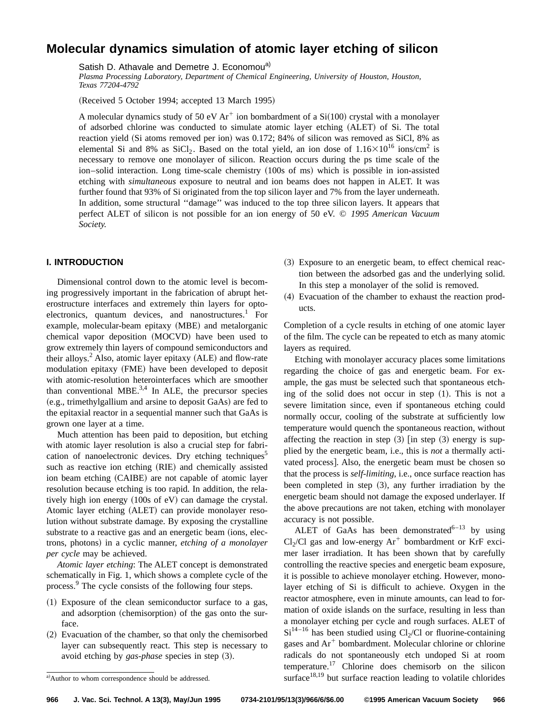# **Molecular dynamics simulation of atomic layer etching of silicon**

Satish D. Athavale and Demetre J. Economou<sup>a)</sup>

*Plasma Processing Laboratory, Department of Chemical Engineering, University of Houston, Houston, Texas 77204-4792*

(Received 5 October 1994; accepted 13 March 1995)

A molecular dynamics study of 50 eV Ar<sup>+</sup> ion bombardment of a  $Si(100)$  crystal with a monolayer of adsorbed chlorine was conducted to simulate atomic layer etching (ALET) of Si. The total reaction yield (Si atoms removed per ion) was 0.172; 84% of silicon was removed as SiCl, 8% as elemental Si and 8% as SiCl<sub>2</sub>. Based on the total yield, an ion dose of  $1.16\times10^{16}$  ions/cm<sup>2</sup> is necessary to remove one monolayer of silicon. Reaction occurs during the ps time scale of the ion–solid interaction. Long time-scale chemistry  $(100s)$  of ms) which is possible in ion-assisted etching with *simultaneous* exposure to neutral and ion beams does not happen in ALET. It was further found that 93% of Si originated from the top silicon layer and 7% from the layer underneath. In addition, some structural ''damage'' was induced to the top three silicon layers. It appears that perfect ALET of silicon is not possible for an ion energy of 50 eV. © *1995 American Vacuum Society.*

## **I. INTRODUCTION**

Dimensional control down to the atomic level is becoming progressively important in the fabrication of abrupt heterostructure interfaces and extremely thin layers for optoelectronics, quantum devices, and nanostructures.<sup>1</sup> For example, molecular-beam epitaxy (MBE) and metalorganic chemical vapor deposition (MOCVD) have been used to grow extremely thin layers of compound semiconductors and their alloys.<sup>2</sup> Also, atomic layer epitaxy  $(ALE)$  and flow-rate modulation epitaxy (FME) have been developed to deposit with atomic-resolution heterointerfaces which are smoother than conventional MBE. $3,4$  In ALE, the precursor species (e.g., trimethylgallium and arsine to deposit GaAs) are fed to the epitaxial reactor in a sequential manner such that GaAs is grown one layer at a time.

Much attention has been paid to deposition, but etching with atomic layer resolution is also a crucial step for fabrication of nanoelectronic devices. Dry etching techniques<sup>5</sup> such as reactive ion etching (RIE) and chemically assisted ion beam etching (CAIBE) are not capable of atomic layer resolution because etching is too rapid. In addition, the relatively high ion energy  $(100s \text{ of } eV)$  can damage the crystal. Atomic layer etching (ALET) can provide monolayer resolution without substrate damage. By exposing the crystalline substrate to a reactive gas and an energetic beam (ions, electrons, photons) in a cyclic manner, *etching of a monolayer per cycle* may be achieved.

*Atomic layer etching*: The ALET concept is demonstrated schematically in Fig. 1, which shows a complete cycle of the process.<sup>9</sup> The cycle consists of the following four steps.

- $(1)$  Exposure of the clean semiconductor surface to a gas, and adsorption (chemisorption) of the gas onto the surface.
- $(2)$  Evacuation of the chamber, so that only the chemisorbed layer can subsequently react. This step is necessary to avoid etching by *gas-phase* species in step (3).
- ~3! Exposure to an energetic beam, to effect chemical reaction between the adsorbed gas and the underlying solid. In this step a monolayer of the solid is removed.
- (4) Evacuation of the chamber to exhaust the reaction products.

Completion of a cycle results in etching of one atomic layer of the film. The cycle can be repeated to etch as many atomic layers as required.

Etching with monolayer accuracy places some limitations regarding the choice of gas and energetic beam. For example, the gas must be selected such that spontaneous etching of the solid does not occur in step  $(1)$ . This is not a severe limitation since, even if spontaneous etching could normally occur, cooling of the substrate at sufficiently low temperature would quench the spontaneous reaction, without affecting the reaction in step  $(3)$  [in step  $(3)$  energy is supplied by the energetic beam, i.e., this is *not* a thermally activated process]. Also, the energetic beam must be chosen so that the process is *self-limiting*, i.e., once surface reaction has been completed in step  $(3)$ , any further irradiation by the energetic beam should not damage the exposed underlayer. If the above precautions are not taken, etching with monolayer accuracy is not possible.

ALET of GaAs has been demonstrated $^{6-13}$  by using Cl<sub>2</sub>/Cl gas and low-energy  $Ar^+$  bombardment or KrF excimer laser irradiation. It has been shown that by carefully controlling the reactive species and energetic beam exposure, it is possible to achieve monolayer etching. However, monolayer etching of Si is difficult to achieve. Oxygen in the reactor atmosphere, even in minute amounts, can lead to formation of oxide islands on the surface, resulting in less than a monolayer etching per cycle and rough surfaces. ALET of  $Si<sup>14-16</sup>$  has been studied using Cl<sub>2</sub>/Cl or fluorine-containing gases and  $Ar^+$  bombardment. Molecular chlorine or chlorine radicals do not spontaneously etch undoped Si at room temperature.<sup>17</sup> Chlorine does chemisorb on the silicon surface<sup>18,19</sup> but surface reaction leading to volatile chlorides

a) Author to whom correspondence should be addressed.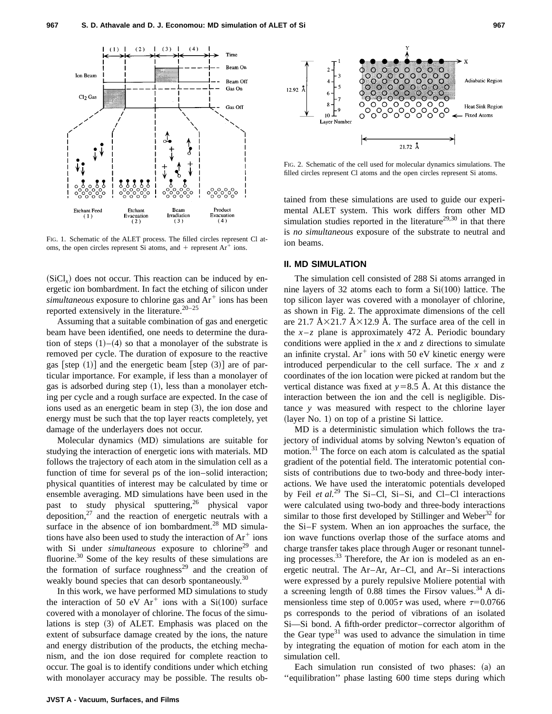

FIG. 1. Schematic of the ALET process. The filled circles represent Cl atoms, the open circles represent Si atoms, and  $+$  represent Ar<sup>+</sup> ions.

 $(SiCl<sub>x</sub>)$  does not occur. This reaction can be induced by energetic ion bombardment. In fact the etching of silicon under *simultaneous* exposure to chlorine gas and Ar<sup>+</sup> ions has been reported extensively in the literature.<sup>20–25</sup>

Assuming that a suitable combination of gas and energetic beam have been identified, one needs to determine the duration of steps  $(1)$ – $(4)$  so that a monolayer of the substrate is removed per cycle. The duration of exposure to the reactive gas [step  $(1)$ ] and the energetic beam [step  $(3)$ ] are of particular importance. For example, if less than a monolayer of gas is adsorbed during step  $(1)$ , less than a monolayer etching per cycle and a rough surface are expected. In the case of ions used as an energetic beam in step  $(3)$ , the ion dose and energy must be such that the top layer reacts completely, yet damage of the underlayers does not occur.

Molecular dynamics (MD) simulations are suitable for studying the interaction of energetic ions with materials. MD follows the trajectory of each atom in the simulation cell as a function of time for several ps of the ion–solid interaction; physical quantities of interest may be calculated by time or ensemble averaging. MD simulations have been used in the past to study physical sputtering,<sup>26</sup> physical vapor deposition, $27$  and the reaction of energetic neutrals with a surface in the absence of ion bombardment.<sup>28</sup> MD simulations have also been used to study the interaction of  $Ar^+$  ions with Si under *simultaneous* exposure to chlorine<sup>29</sup> and fluorine.<sup>30</sup> Some of the key results of these simulations are the formation of surface roughness<sup>29</sup> and the creation of weakly bound species that can desorb spontaneously.<sup>30</sup>

In this work, we have performed MD simulations to study the interaction of 50 eV  $Ar^+$  ions with a Si(100) surface covered with a monolayer of chlorine. The focus of the simulations is step  $(3)$  of ALET. Emphasis was placed on the extent of subsurface damage created by the ions, the nature and energy distribution of the products, the etching mechanism, and the ion dose required for complete reaction to occur. The goal is to identify conditions under which etching with monolayer accuracy may be possible. The results ob-





FIG. 2. Schematic of the cell used for molecular dynamics simulations. The filled circles represent Cl atoms and the open circles represent Si atoms.

tained from these simulations are used to guide our experimental ALET system. This work differs from other MD simulation studies reported in the literature<sup>29,30</sup> in that there is *no simultaneous* exposure of the substrate to neutral and ion beams.

### **II. MD SIMULATION**

The simulation cell consisted of 288 Si atoms arranged in nine layers of 32 atoms each to form a  $Si(100)$  lattice. The top silicon layer was covered with a monolayer of chlorine, as shown in Fig. 2. The approximate dimensions of the cell are 21.7 Å $\times$ 21.7 Å $\times$ 12.9 Å. The surface area of the cell in the  $x-z$  plane is approximately 472 Å. Periodic boundary conditions were applied in the *x* and *z* directions to simulate an infinite crystal.  $Ar^+$  ions with 50 eV kinetic energy were introduced perpendicular to the cell surface. The *x* and *z* coordinates of the ion location were picked at random but the vertical distance was fixed at  $y=8.5$  Å. At this distance the interaction between the ion and the cell is negligible. Distance *y* was measured with respect to the chlorine layer  $(layer No. 1)$  on top of a pristine Si lattice.

MD is a deterministic simulation which follows the trajectory of individual atoms by solving Newton's equation of motion.31 The force on each atom is calculated as the spatial gradient of the potential field. The interatomic potential consists of contributions due to two-body and three-body interactions. We have used the interatomic potentials developed by Feil *et al.*<sup>29</sup> The Si–Cl, Si–Si, and Cl–Cl interactions were calculated using two-body and three-body interactions similar to those first developed by Stillinger and Weber<sup>32</sup> for the Si–F system. When an ion approaches the surface, the ion wave functions overlap those of the surface atoms and charge transfer takes place through Auger or resonant tunneling processes.<sup>33</sup> Therefore, the Ar ion is modeled as an energetic neutral. The Ar–Ar, Ar–Cl, and Ar–Si interactions were expressed by a purely repulsive Moliere potential with a screening length of 0.88 times the Firsov values.<sup>34</sup> A dimensionless time step of  $0.005\tau$  was used, where  $\tau=0.0766$ ps corresponds to the period of vibrations of an isolated Si—Si bond. A fifth-order predictor–corrector algorithm of the Gear type $31$  was used to advance the simulation in time by integrating the equation of motion for each atom in the simulation cell.

Each simulation run consisted of two phases:  $(a)$  and ''equilibration'' phase lasting 600 time steps during which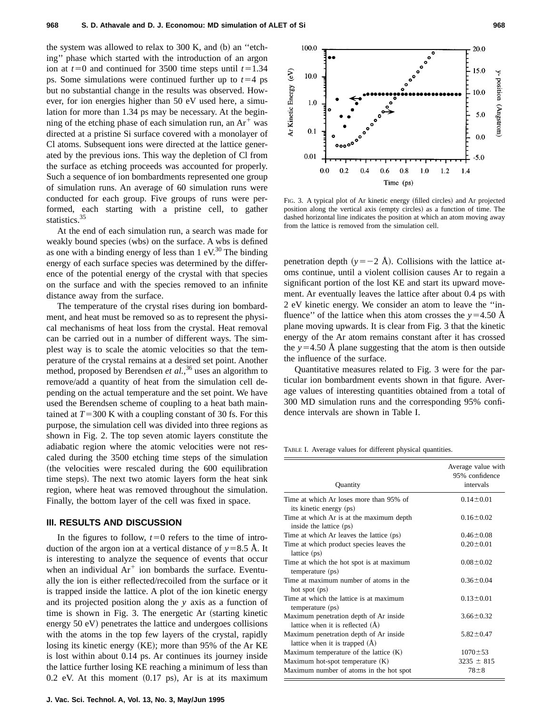the system was allowed to relax to 300 K, and  $(b)$  an "etching'' phase which started with the introduction of an argon ion at  $t=0$  and continued for 3500 time steps until  $t=1.34$ ps. Some simulations were continued further up to  $t=4$  ps but no substantial change in the results was observed. However, for ion energies higher than 50 eV used here, a simulation for more than 1.34 ps may be necessary. At the beginning of the etching phase of each simulation run, an  $Ar^+$  was directed at a pristine Si surface covered with a monolayer of Cl atoms. Subsequent ions were directed at the lattice generated by the previous ions. This way the depletion of Cl from the surface as etching proceeds was accounted for properly. Such a sequence of ion bombardments represented one group of simulation runs. An average of 60 simulation runs were conducted for each group. Five groups of runs were performed, each starting with a pristine cell, to gather statistics.<sup>35</sup>

At the end of each simulation run, a search was made for weakly bound species (wbs) on the surface. A wbs is defined as one with a binding energy of less than  $1 \text{ eV}^{30}$ . The binding energy of each surface species was determined by the difference of the potential energy of the crystal with that species on the surface and with the species removed to an infinite distance away from the surface.

The temperature of the crystal rises during ion bombardment, and heat must be removed so as to represent the physical mechanisms of heat loss from the crystal. Heat removal can be carried out in a number of different ways. The simplest way is to scale the atomic velocities so that the temperature of the crystal remains at a desired set point. Another method, proposed by Berendsen *et al.*,<sup>36</sup> uses an algorithm to remove/add a quantity of heat from the simulation cell depending on the actual temperature and the set point. We have used the Berendsen scheme of coupling to a heat bath maintained at  $T=300$  K with a coupling constant of 30 fs. For this purpose, the simulation cell was divided into three regions as shown in Fig. 2. The top seven atomic layers constitute the adiabatic region where the atomic velocities were not rescaled during the 3500 etching time steps of the simulation (the velocities were rescaled during the 600 equilibration time steps). The next two atomic layers form the heat sink region, where heat was removed throughout the simulation. Finally, the bottom layer of the cell was fixed in space.

#### **III. RESULTS AND DISCUSSION**

In the figures to follow,  $t=0$  refers to the time of introduction of the argon ion at a vertical distance of  $y=8.5$  Å. It is interesting to analyze the sequence of events that occur when an individual  $Ar^+$  ion bombards the surface. Eventually the ion is either reflected/recoiled from the surface or it is trapped inside the lattice. A plot of the ion kinetic energy and its projected position along the *y* axis as a function of time is shown in Fig. 3. The energetic Ar (starting kinetic energy  $50 \text{ eV}$ ) penetrates the lattice and undergoes collisions with the atoms in the top few layers of the crystal, rapidly losing its kinetic energy  $(KE)$ ; more than 95% of the Ar KE is lost within about 0.14 ps. Ar continues its journey inside the lattice further losing KE reaching a minimum of less than  $0.2$  eV. At this moment  $(0.17 \text{ ps})$ , Ar is at its maximum



FIG. 3. A typical plot of Ar kinetic energy (filled circles) and Ar projected position along the vertical axis (empty circles) as a function of time. The dashed horizontal line indicates the position at which an atom moving away from the lattice is removed from the simulation cell.

penetration depth  $(y=-2 \text{ Å})$ . Collisions with the lattice atoms continue, until a violent collision causes Ar to regain a significant portion of the lost KE and start its upward movement. Ar eventually leaves the lattice after about 0.4 ps with 2 eV kinetic energy. We consider an atom to leave the ''influence" of the lattice when this atom crosses the  $y=4.50$  Å plane moving upwards. It is clear from Fig. 3 that the kinetic energy of the Ar atom remains constant after it has crossed the  $y=4.50$  Å plane suggesting that the atom is then outside the influence of the surface.

Quantitative measures related to Fig. 3 were for the particular ion bombardment events shown in that figure. Average values of interesting quantities obtained from a total of 300 MD simulation runs and the corresponding 95% confidence intervals are shown in Table I.

TABLE I. Average values for different physical quantities.

| Quantity                                                                     | Average value with<br>95% confidence<br>intervals |
|------------------------------------------------------------------------------|---------------------------------------------------|
| Time at which Ar loses more than 95% of                                      | $0.14 \pm 0.01$                                   |
| its kinetic energy (ps)                                                      |                                                   |
| Time at which Ar is at the maximum depth<br>inside the lattice (ps)          | $0.16 \pm 0.02$                                   |
| Time at which Ar leaves the lattice (ps)                                     | $0.46 \pm 0.08$                                   |
| Time at which product species leaves the<br>lattice $(ps)$                   | $0.20 \pm 0.01$                                   |
| Time at which the hot spot is at maximum<br>temperature (ps)                 | $0.08 \pm 0.02$                                   |
| Time at maximum number of atoms in the<br>hot spot $(ps)$                    | $0.36 \pm 0.04$                                   |
| Time at which the lattice is at maximum<br>temperature (ps)                  | $0.13 \pm 0.01$                                   |
| Maximum penetration depth of Ar inside<br>lattice when it is reflected $(A)$ | $3.66 \pm 0.32$                                   |
| Maximum penetration depth of Ar inside<br>lattice when it is trapped (Å)     | $5.82 \pm 0.47$                                   |
| Maximum temperature of the lattice $(K)$                                     | $1070 \pm 53$                                     |
| Maximum hot-spot temperature $(K)$                                           | $3235 \pm 815$                                    |
| Maximum number of atoms in the hot spot                                      | $78 + 8$                                          |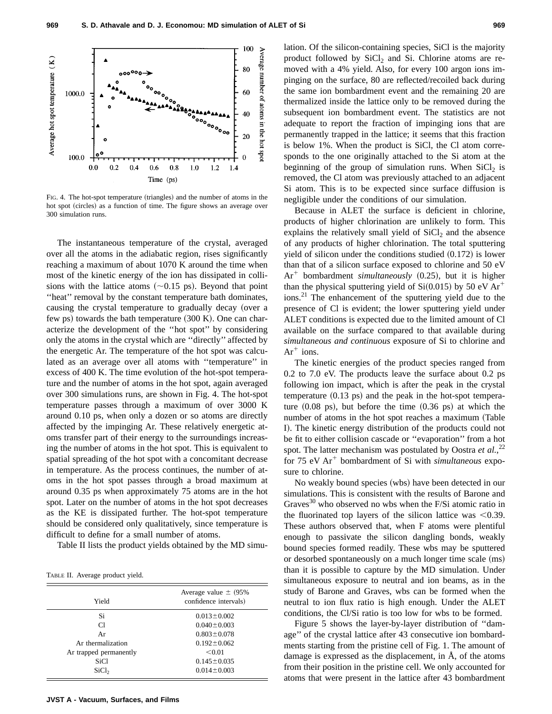

FIG. 4. The hot-spot temperature (triangles) and the number of atoms in the hot spot (circles) as a function of time. The figure shows an average over 300 simulation runs.

The instantaneous temperature of the crystal, averaged over all the atoms in the adiabatic region, rises significantly reaching a maximum of about 1070 K around the time when most of the kinetic energy of the ion has dissipated in collisions with the lattice atoms  $(\sim 0.15 \text{ ps})$ . Beyond that point "heat" removal by the constant temperature bath dominates, causing the crystal temperature to gradually decay (over a few ps) towards the bath temperature  $(300 \text{ K})$ . One can characterize the development of the ''hot spot'' by considering only the atoms in the crystal which are ''directly'' affected by the energetic Ar. The temperature of the hot spot was calculated as an average over all atoms with ''temperature'' in excess of 400 K. The time evolution of the hot-spot temperature and the number of atoms in the hot spot, again averaged over 300 simulations runs, are shown in Fig. 4. The hot-spot temperature passes through a maximum of over 3000 K around 0.10 ps, when only a dozen or so atoms are directly affected by the impinging Ar. These relatively energetic atoms transfer part of their energy to the surroundings increasing the number of atoms in the hot spot. This is equivalent to spatial spreading of the hot spot with a concomitant decrease in temperature. As the process continues, the number of atoms in the hot spot passes through a broad maximum at around 0.35 ps when approximately 75 atoms are in the hot spot. Later on the number of atoms in the hot spot decreases as the KE is dissipated further. The hot-spot temperature should be considered only qualitatively, since temperature is difficult to define for a small number of atoms.

Table II lists the product yields obtained by the MD simu-

TABLE II. Average product yield.

| Yield                  | Average value $\pm$ (95%)<br>confidence intervals) |
|------------------------|----------------------------------------------------|
| Si                     | $0.013 \pm 0.002$                                  |
| C1                     | $0.040 \pm 0.003$                                  |
| Ar                     | $0.803 \pm 0.078$                                  |
| Ar thermalization      | $0.192 \pm 0.062$                                  |
| Ar trapped permanently | < 0.01                                             |
| SiCl.                  | $0.145 \pm 0.035$                                  |
| SiCl <sub>2</sub>      | $0.014 \pm 0.003$                                  |
|                        |                                                    |

lation. Of the silicon-containing species, SiCl is the majority product followed by  $SiCl<sub>2</sub>$  and Si. Chlorine atoms are removed with a 4% yield. Also, for every 100 argon ions impinging on the surface, 80 are reflected/recoiled back during the same ion bombardment event and the remaining 20 are thermalized inside the lattice only to be removed during the subsequent ion bombardment event. The statistics are not adequate to report the fraction of impinging ions that are permanently trapped in the lattice; it seems that this fraction is below 1%. When the product is SiCl, the Cl atom corresponds to the one originally attached to the Si atom at the beginning of the group of simulation runs. When  $SiCl<sub>2</sub>$  is removed, the Cl atom was previously attached to an adjacent Si atom. This is to be expected since surface diffusion is negligible under the conditions of our simulation.

Because in ALET the surface is deficient in chlorine, products of higher chlorination are unlikely to form. This explains the relatively small yield of  $SiCl<sub>2</sub>$  and the absence of any products of higher chlorination. The total sputtering yield of silicon under the conditions studied  $(0.172)$  is lower than that of a silicon surface exposed to chlorine and 50 eV  $Ar^+$  bombardment *simultaneously*  $(0.25)$ , but it is higher than the physical sputtering yield of Si $(0.015)$  by 50 eV Ar<sup>+</sup> ions.<sup>21</sup> The enhancement of the sputtering yield due to the presence of Cl is evident; the lower sputtering yield under ALET conditions is expected due to the limited amount of Cl available on the surface compared to that available during *simultaneous and continuous* exposure of Si to chlorine and  $Ar^+$  ions.

The kinetic energies of the product species ranged from 0.2 to 7.0 eV. The products leave the surface about 0.2 ps following ion impact, which is after the peak in the crystal temperature  $(0.13 \text{ ps})$  and the peak in the hot-spot temperature  $(0.08 \text{ ps})$ , but before the time  $(0.36 \text{ ps})$  at which the number of atoms in the hot spot reaches a maximum (Table I). The kinetic energy distribution of the products could not be fit to either collision cascade or ''evaporation'' from a hot spot. The latter mechanism was postulated by Oostra *et al.*,<sup>22</sup> for 75 eV Ar<sup>+</sup> bombardment of Si with *simultaneous* exposure to chlorine.

No weakly bound species (wbs) have been detected in our simulations. This is consistent with the results of Barone and Graves $^{30}$  who observed no wbs when the F/Si atomic ratio in the fluorinated top layers of the silicon lattice was  $<0.39$ . These authors observed that, when F atoms were plentiful enough to passivate the silicon dangling bonds, weakly bound species formed readily. These wbs may be sputtered or desorbed spontaneously on a much longer time scale (ms) than it is possible to capture by the MD simulation. Under simultaneous exposure to neutral and ion beams, as in the study of Barone and Graves, wbs can be formed when the neutral to ion flux ratio is high enough. Under the ALET conditions, the Cl/Si ratio is too low for wbs to be formed.

Figure 5 shows the layer-by-layer distribution of ''damage'' of the crystal lattice after 43 consecutive ion bombardments starting from the pristine cell of Fig. 1. The amount of damage is expressed as the displacement, in Å, of the atoms from their position in the pristine cell. We only accounted for atoms that were present in the lattice after 43 bombardment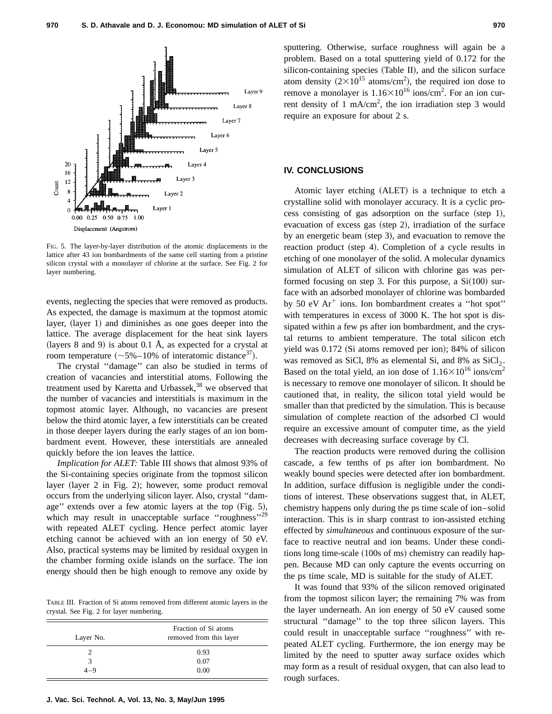

FIG. 5. The layer-by-layer distribution of the atomic displacements in the lattice after 43 ion bombardments of the same cell starting from a pristine silicon crystal with a monolayer of chlorine at the surface. See Fig. 2 for layer numbering.

events, neglecting the species that were removed as products. As expected, the damage is maximum at the topmost atomic layer, (layer 1) and diminishes as one goes deeper into the lattice. The average displacement for the heat sink layers (layers 8 and 9) is about 0.1 Å, as expected for a crystal at room temperature  $({\sim}5\% - 10\%$  of interatomic distance<sup>37</sup>).

The crystal ''damage'' can also be studied in terms of creation of vacancies and interstitial atoms. Following the treatment used by Karetta and Urbassek, $38$  we observed that the number of vacancies and interstitials is maximum in the topmost atomic layer. Although, no vacancies are present below the third atomic layer, a few interstitials can be created in those deeper layers during the early stages of an ion bombardment event. However, these interstitials are annealed quickly before the ion leaves the lattice.

*Implication for ALET:* Table III shows that almost 93% of the Si-containing species originate from the topmost silicon layer (layer 2 in Fig. 2); however, some product removal occurs from the underlying silicon layer. Also, crystal ''damage" extends over a few atomic layers at the top  $(Fig. 5)$ , which may result in unacceptable surface "roughness"<sup>29</sup> with repeated ALET cycling. Hence perfect atomic layer etching cannot be achieved with an ion energy of 50 eV. Also, practical systems may be limited by residual oxygen in the chamber forming oxide islands on the surface. The ion energy should then be high enough to remove any oxide by

TABLE III. Fraction of Si atoms removed from different atomic layers in the crystal. See Fig. 2 for layer numbering.

| Layer No. | Fraction of Si atoms<br>removed from this layer |
|-----------|-------------------------------------------------|
|           | 0.93                                            |
| 3         | 0.07                                            |
| $4 - 9$   | 0.00                                            |

sputtering. Otherwise, surface roughness will again be a problem. Based on a total sputtering yield of 0.172 for the  $silicon-containing species (Table II)$ , and the silicon surface atom density  $(2\times10^{15} \text{ atoms/cm}^2)$ , the required ion dose to remove a monolayer is  $1.16 \times 10^{16}$  ions/cm<sup>2</sup>. For an ion current density of 1 mA/cm<sup>2</sup>, the ion irradiation step 3 would require an exposure for about 2 s.

## **IV. CONCLUSIONS**

Atomic layer etching (ALET) is a technique to etch a crystalline solid with monolayer accuracy. It is a cyclic process consisting of gas adsorption on the surface (step 1), evacuation of excess gas (step 2), irradiation of the surface by an energetic beam (step 3), and evacuation to remove the reaction product (step 4). Completion of a cycle results in etching of one monolayer of the solid. A molecular dynamics simulation of ALET of silicon with chlorine gas was performed focusing on step 3. For this purpose, a  $Si(100)$  surface with an adsorbed monolayer of chlorine was bombarded by 50 eV  $Ar^+$  ions. Ion bombardment creates a "hot spot" with temperatures in excess of 3000 K. The hot spot is dissipated within a few ps after ion bombardment, and the crystal returns to ambient temperature. The total silicon etch yield was  $0.172$  (Si atoms removed per ion); 84% of silicon was removed as SiCl, 8% as elemental Si, and 8% as  $SiCl<sub>2</sub>$ . Based on the total yield, an ion dose of  $1.16\times10^{16}$  ions/cm<sup>2</sup> is necessary to remove one monolayer of silicon. It should be cautioned that, in reality, the silicon total yield would be smaller than that predicted by the simulation. This is because simulation of complete reaction of the adsorbed Cl would require an excessive amount of computer time, as the yield decreases with decreasing surface coverage by Cl.

The reaction products were removed during the collision cascade, a few tenths of ps after ion bombardment. No weakly bound species were detected after ion bombardment. In addition, surface diffusion is negligible under the conditions of interest. These observations suggest that, in ALET, chemistry happens only during the ps time scale of ion–solid interaction. This is in sharp contrast to ion-assisted etching effected by *simultaneous* and continuous exposure of the surface to reactive neutral and ion beams. Under these conditions long time-scale (100s of ms) chemistry can readily happen. Because MD can only capture the events occurring on the ps time scale, MD is suitable for the study of ALET.

It was found that 93% of the silicon removed originated from the topmost silicon layer; the remaining 7% was from the layer underneath. An ion energy of 50 eV caused some structural ''damage'' to the top three silicon layers. This could result in unacceptable surface ''roughness'' with repeated ALET cycling. Furthermore, the ion energy may be limited by the need to sputter away surface oxides which may form as a result of residual oxygen, that can also lead to rough surfaces.